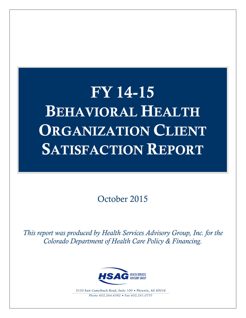# FY 14-15 BEHAVIORAL HEALTH ORGANIZATION CLIENT SATISFACTION REPORT

October 2015

*This report was produced by Health Services Advisory Group, Inc. for the Colorado Department of Health Care Policy & Financing.*



3133 East Camelback Road, Suite 100 • Phoenix, AZ 85016 Phone  $602.264.6382 \cdot$  Fax  $602.241.0757$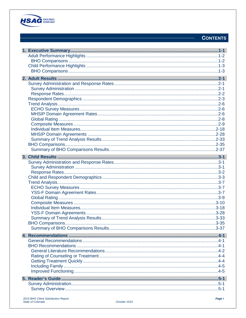

### **CONTENTS**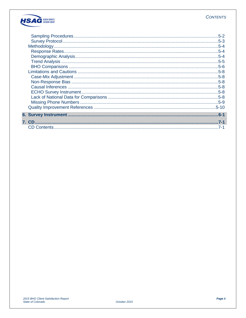

| $5-2$<br>$.5 - 3$<br>$.5 - 4$<br>$.5 - 4$<br>$.5 - 4$<br>$.5 - 5$<br>$.5 - 6$<br>$.5 - 8$<br>$.5 - 8$<br>$.5 - 8$<br>$.5 - 8$ |
|-------------------------------------------------------------------------------------------------------------------------------|
| $.5 - 8$<br>$.5 - 9$                                                                                                          |
| $.6 - 1$<br>$7 - 1$                                                                                                           |
| $7 - 1$                                                                                                                       |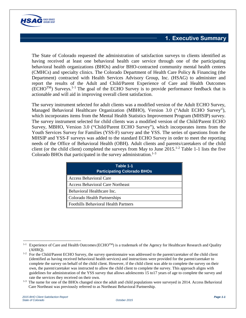

The State of Colorado requested the administration of satisfaction surveys to clients identified as having received at least one behavioral health care service through one of the participating behavioral health organizations (BHOs) and/or BHO-contracted community mental health centers (CMHCs) and specialty clinics. The Colorado Department of Health Care Policy & Financing (the Department) contracted with Health Services Advisory Group, Inc. (HSAG) to administer and report the results of the Adult and Child/Parent Experience of Care and Health Outcomes  $(ECHO<sup>TM</sup>)$  Surveys.<sup>[1](#page-3-0)-1</sup> The goal of the ECHO Survey is to provide performance feedback that is actionable and will aid in improving overall client satisfaction.

The survey instrument selected for adult clients was a modified version of the Adult ECHO Survey, Managed Behavioral Healthcare Organization (MBHO), Version 3.0 ("Adult ECHO Survey"), which incorporates items from the Mental Health Statistics Improvement Program (MHSIP) survey. The survey instrument selected for child clients was a modified version of the Child/Parent ECHO Survey, MBHO, Version 3.0 ("Child/Parent ECHO Survey"), which incorporates items from the Youth Services Survey for Families (YSS-F) survey and the YSS. The series of questions from the MHSIP and YSS-F surveys was added to the standard ECHO Survey in order to meet the reporting needs of the Office of Behavioral Health (OBH). Adult clients and parents/caretakers of the child client (or the child client) completed the surveys from May to June  $2015$  $2015$ .<sup>1-2</sup> Table 1-1 lists the five Colorado BHOs that participated in the survey administration. $1-3$  $1-3$ 

| Table 1-1<br><b>Participating Colorado BHOs</b> |  |  |  |  |
|-------------------------------------------------|--|--|--|--|
| <b>Access Behavioral Care</b>                   |  |  |  |  |
| <b>Access Behavioral Care Northeast</b>         |  |  |  |  |
| Behavioral Healthcare Inc.                      |  |  |  |  |
| Colorado Health Partnerships                    |  |  |  |  |
| <b>Foothills Behavioral Health Partners</b>     |  |  |  |  |

<span id="page-3-0"></span> $\overline{a}$ <sup>1-1</sup> Experience of Care and Health Outcomes (ECHO<sup>TM</sup>) is a trademark of the Agency for Healthcare Research and Quality

<span id="page-3-1"></span><sup>(</sup>AHRQ). 1-2 For the Child/Parent ECHO Survey, the survey questionnaire was addressed to the parent/caretaker of the child client (identified as having received behavioral health services) and instructions were provided for the parent/caretaker to complete the survey on behalf of the child client. However, if the child client was able to complete the survey on their own, the parent/caretaker was instructed to allow the child client to complete the survey. This approach aligns with guidelines for administration of the YSS survey that allows adolescents 15 to17 years of age to complete the survey and rate the services they received on their own.

<span id="page-3-2"></span><sup>&</sup>lt;sup>1-3</sup> The name for one of the BHOs changed since the adult and child populations were surveyed in 2014. Access Behavioral Care Northeast was previously referred to as Northeast Behavioral Partnership.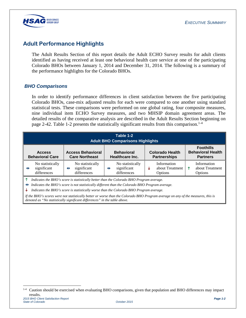

## **Adult Performance Highlights**

The Adult Results Section of this report details the Adult ECHO Survey results for adult clients identified as having received at least one behavioral health care service at one of the participating Colorado BHOs between January 1, 2014 and December 31, 2014. The following is a summary of the performance highlights for the Colorado BHOs.

#### *BHO Comparisons*

In order to identify performance differences in client satisfaction between the five participating Colorado BHOs, case-mix adjusted results for each were compared to one another using standard statistical tests. These comparisons were performed on one global rating, four composite measures, nine individual item ECHO Survey measures, and two MHSIP domain agreement areas. The detailed results of the comparative analysis are described in the Adult Results Section beginning on page 2-[4](#page-4-0)2. Table 1-2 presents the statistically significant results from this comparison.<sup>1-4</sup>

| Table 1-2<br><b>Adult BHO Comparisons Highlights</b> |                                                |                                                                     |                                                                     |                                                |                                                                 |  |  |  |
|------------------------------------------------------|------------------------------------------------|---------------------------------------------------------------------|---------------------------------------------------------------------|------------------------------------------------|-----------------------------------------------------------------|--|--|--|
|                                                      | <b>Access</b><br><b>Behavioral Care</b>        | <b>Access Behavioral</b><br><b>Care Northeast</b>                   | <b>Behavioral</b><br>Healthcare Inc.                                | <b>Colorado Health</b><br><b>Partnerships</b>  | <b>Foothills</b><br><b>Behavioral Health</b><br><b>Partners</b> |  |  |  |
| $\leftrightarrow$                                    | No statistically<br>significant<br>differences | No statistically<br>significant<br>$\leftrightarrow$<br>differences | No statistically<br>significant<br>$\leftrightarrow$<br>differences | Information<br>about Treatment<br>J<br>Options | Information<br>about Treatment<br>Options                       |  |  |  |

*Indicates the BHO's score is statistically better than the Colorado BHO Program average.* 

*Indicates the BHO's score is not statistically different than the Colorado BHO Program average.*

*Indicates the BHO's score is statistically worse than the Colorado BHO Program average.*

*If the BHO's scores were not statistically better or worse than the Colorado BHO Program average on any of the measures, this is denoted as "No statistically significant differences" in the table above.*

 $\overline{a}$ 

<span id="page-4-0"></span>*<sup>2015</sup> BHO Client Satisfaction Report Page 1-2* 1-4 Caution should be exercised when evaluating BHO comparisons, given that population and BHO differences may impact results.